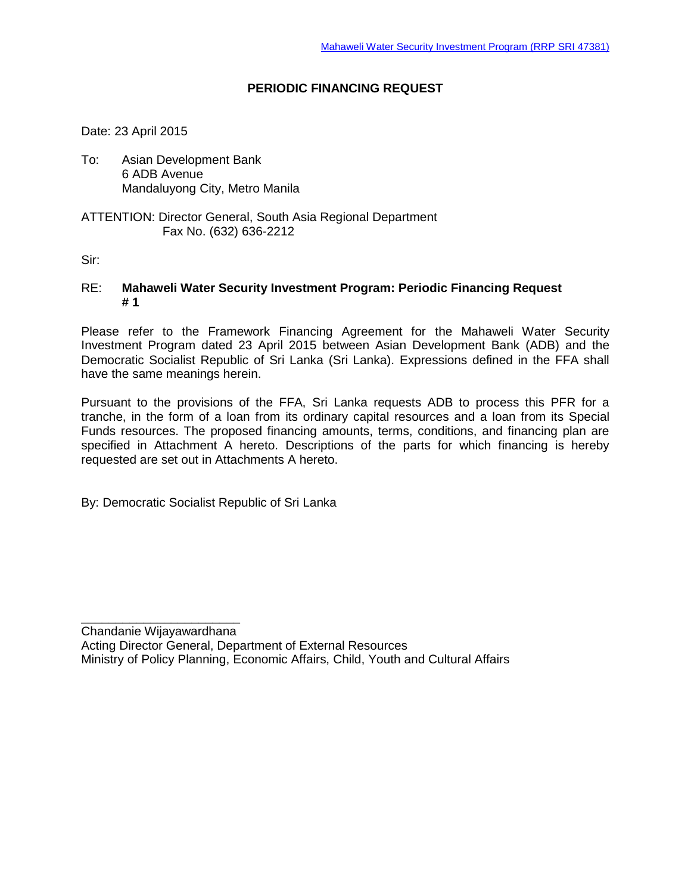## **PERIODIC FINANCING REQUEST**

Date: 23 April 2015

To: Asian Development Bank 6 ADB Avenue Mandaluyong City, Metro Manila

ATTENTION: Director General, South Asia Regional Department Fax No. (632) 636-2212

Sir:

## RE: **Mahaweli Water Security Investment Program: Periodic Financing Request # 1**

Please refer to the Framework Financing Agreement for the Mahaweli Water Security Investment Program dated 23 April 2015 between Asian Development Bank (ADB) and the Democratic Socialist Republic of Sri Lanka (Sri Lanka). Expressions defined in the FFA shall have the same meanings herein.

Pursuant to the provisions of the FFA, Sri Lanka requests ADB to process this PFR for a tranche, in the form of a loan from its ordinary capital resources and a loan from its Special Funds resources. The proposed financing amounts, terms, conditions, and financing plan are specified in Attachment A hereto. Descriptions of the parts for which financing is hereby requested are set out in Attachments A hereto.

By: Democratic Socialist Republic of Sri Lanka

\_\_\_\_\_\_\_\_\_\_\_\_\_\_\_\_\_\_\_\_\_\_\_ Chandanie Wijayawardhana

Acting Director General, Department of External Resources

Ministry of Policy Planning, Economic Affairs, Child, Youth and Cultural Affairs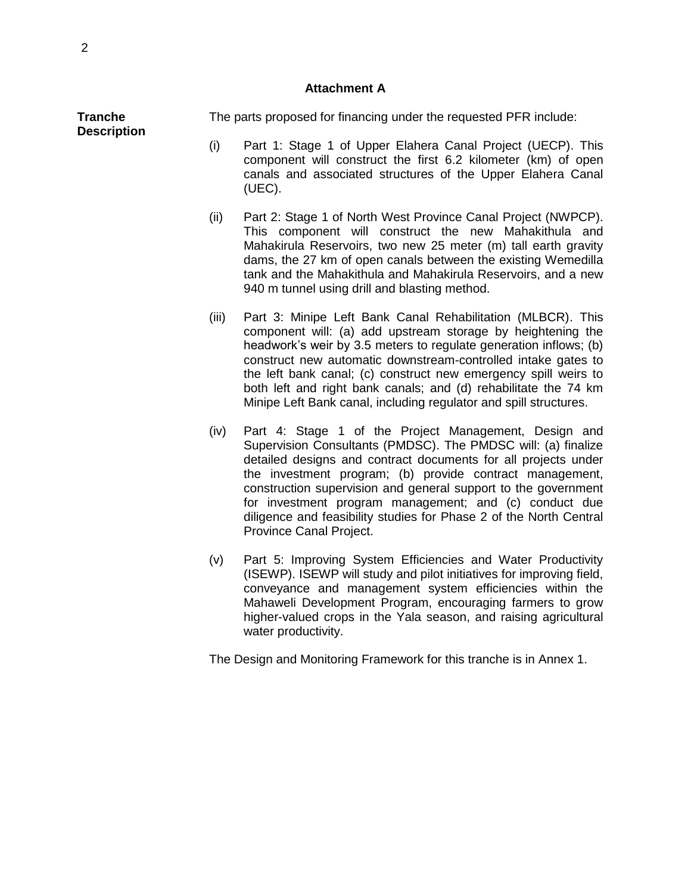## **Attachment A**

**Tranche Description** The parts proposed for financing under the requested PFR include: (i) Part 1: Stage 1 of Upper Elahera Canal Project (UECP). This component will construct the first 6.2 kilometer (km) of open canals and associated structures of the Upper Elahera Canal (UEC).

- (ii) Part 2: Stage 1 of North West Province Canal Project (NWPCP). This component will construct the new Mahakithula and Mahakirula Reservoirs, two new 25 meter (m) tall earth gravity dams, the 27 km of open canals between the existing Wemedilla tank and the Mahakithula and Mahakirula Reservoirs, and a new 940 m tunnel using drill and blasting method.
- (iii) Part 3: Minipe Left Bank Canal Rehabilitation (MLBCR). This component will: (a) add upstream storage by heightening the headwork's weir by 3.5 meters to regulate generation inflows; (b) construct new automatic downstream-controlled intake gates to the left bank canal; (c) construct new emergency spill weirs to both left and right bank canals; and (d) rehabilitate the 74 km Minipe Left Bank canal, including regulator and spill structures.
- (iv) Part 4: Stage 1 of the Project Management, Design and Supervision Consultants (PMDSC). The PMDSC will: (a) finalize detailed designs and contract documents for all projects under the investment program; (b) provide contract management, construction supervision and general support to the government for investment program management; and (c) conduct due diligence and feasibility studies for Phase 2 of the North Central Province Canal Project.
- (v) Part 5: Improving System Efficiencies and Water Productivity (ISEWP). ISEWP will study and pilot initiatives for improving field, conveyance and management system efficiencies within the Mahaweli Development Program, encouraging farmers to grow higher-valued crops in the Yala season, and raising agricultural water productivity.

The Design and Monitoring Framework for this tranche is in Annex 1.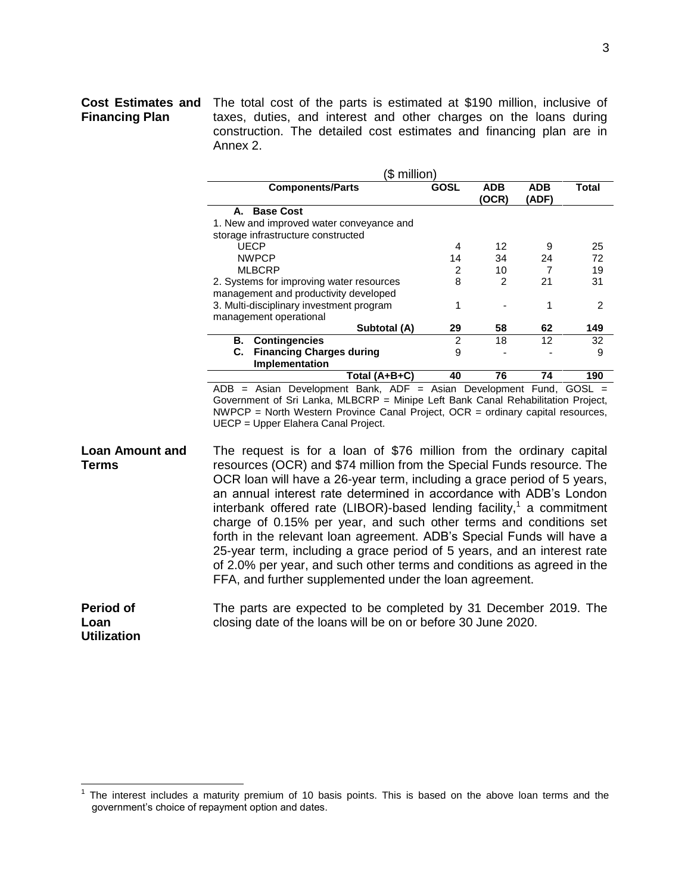## **Financing Plan**

**Cost Estimates and**  The total cost of the parts is estimated at \$190 million, inclusive of taxes, duties, and interest and other charges on the loans during construction. The detailed cost estimates and financing plan are in Annex 2.

| (\$ million)                             |               |                     |              |       |
|------------------------------------------|---------------|---------------------|--------------|-------|
| <b>Components/Parts</b>                  | <b>GOSL</b>   | <b>ADB</b><br>(OCR) | ADB<br>(ADF) | Total |
| <b>Base Cost</b><br>А.                   |               |                     |              |       |
| 1. New and improved water conveyance and |               |                     |              |       |
| storage infrastructure constructed       |               |                     |              |       |
| <b>UECP</b>                              | 4             | 12                  | 9            | 25    |
| <b>NWPCP</b>                             | 14            | 34                  | 24           | 72    |
| <b>MLBCRP</b>                            | 2             | 10                  |              | 19    |
| 2. Systems for improving water resources | 8             | 2                   | 21           | 31    |
| management and productivity developed    |               |                     |              |       |
| 3. Multi-disciplinary investment program | 1             |                     |              | 2     |
| management operational                   |               |                     |              |       |
| Subtotal (A)                             | 29            | 58                  | 62           | 149   |
| <b>Contingencies</b><br>В.               | $\mathcal{P}$ | 18                  | 12           | 32    |
| <b>Financing Charges during</b><br>С.    | 9             |                     |              | 9     |
| Implementation                           |               |                     |              |       |
| Total (A+B+C)                            | 40            | 76                  | 74           | 190   |
| $\sim$ $\sim$<br>$\sim$                  |               |                     |              |       |

 $ADB = Asian Development Bank, ADF = Asian Development Fund, GOSL =$ Government of Sri Lanka, MLBCRP = Minipe Left Bank Canal Rehabilitation Project,  $NWPCP = North Western Province Canal Project, OCR = ordinary capital resources,$ UECP = Upper Elahera Canal Project.

**Loan Amount and Terms** The request is for a loan of \$76 million from the ordinary capital resources (OCR) and \$74 million from the Special Funds resource. The OCR loan will have a 26-year term, including a grace period of 5 years, an annual interest rate determined in accordance with ADB's London interbank offered rate (LIBOR)-based lending facility,<sup>1</sup> a commitment charge of 0.15% per year, and such other terms and conditions set forth in the relevant loan agreement. ADB's Special Funds will have a 25-year term, including a grace period of 5 years, and an interest rate of 2.0% per year, and such other terms and conditions as agreed in the FFA, and further supplemented under the loan agreement.

**Period of Loan** The parts are expected to be completed by 31 December 2019. The closing date of the loans will be on or before 30 June 2020.

**Utilization**

 $\overline{a}$ 

<sup>1</sup> The interest includes a maturity premium of 10 basis points. This is based on the above loan terms and the government's choice of repayment option and dates.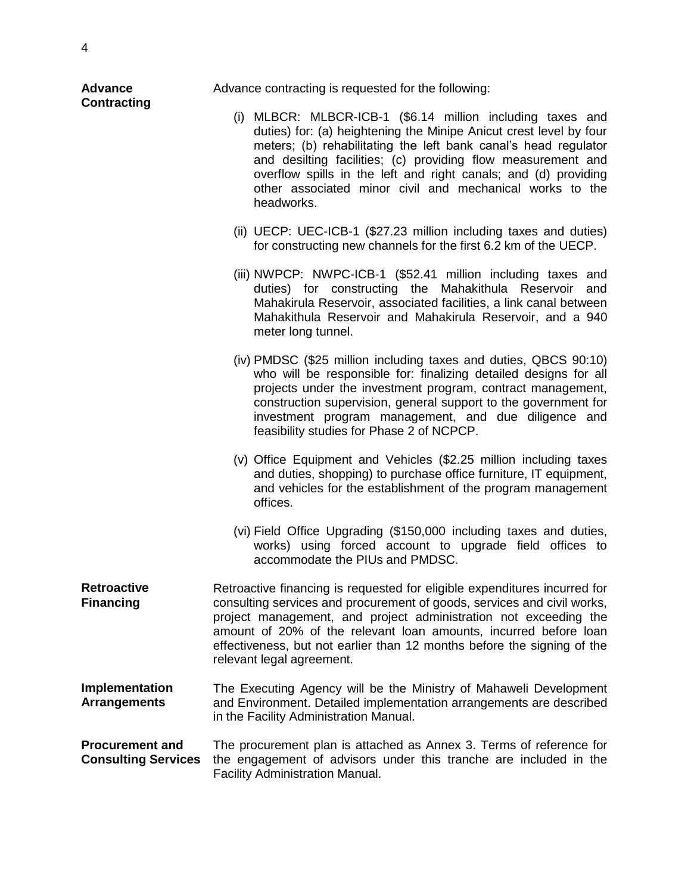| <b>Advance</b><br><b>Contracting</b>                 | Advance contracting is requested for the following:                                                                                                                                                                                                                                                                                                                                                              |
|------------------------------------------------------|------------------------------------------------------------------------------------------------------------------------------------------------------------------------------------------------------------------------------------------------------------------------------------------------------------------------------------------------------------------------------------------------------------------|
|                                                      | (i) MLBCR: MLBCR-ICB-1 (\$6.14 million including taxes and<br>duties) for: (a) heightening the Minipe Anicut crest level by four<br>meters; (b) rehabilitating the left bank canal's head regulator<br>and desilting facilities; (c) providing flow measurement and<br>overflow spills in the left and right canals; and (d) providing<br>other associated minor civil and mechanical works to the<br>headworks. |
|                                                      | (ii) UECP: UEC-ICB-1 (\$27.23 million including taxes and duties)<br>for constructing new channels for the first 6.2 km of the UECP.                                                                                                                                                                                                                                                                             |
|                                                      | (iii) NWPCP: NWPC-ICB-1 (\$52.41 million including taxes and<br>duties) for constructing the Mahakithula Reservoir and<br>Mahakirula Reservoir, associated facilities, a link canal between<br>Mahakithula Reservoir and Mahakirula Reservoir, and a 940<br>meter long tunnel.                                                                                                                                   |
|                                                      | (iv) PMDSC (\$25 million including taxes and duties, QBCS 90:10)<br>who will be responsible for: finalizing detailed designs for all<br>projects under the investment program, contract management,<br>construction supervision, general support to the government for<br>investment program management, and due diligence and<br>feasibility studies for Phase 2 of NCPCP.                                      |
|                                                      | (v) Office Equipment and Vehicles (\$2.25 million including taxes<br>and duties, shopping) to purchase office furniture, IT equipment,<br>and vehicles for the establishment of the program management<br>offices.                                                                                                                                                                                               |
|                                                      | (vi) Field Office Upgrading (\$150,000 including taxes and duties,<br>works) using forced account to upgrade field offices to<br>accommodate the PIUs and PMDSC.                                                                                                                                                                                                                                                 |
| <b>Retroactive</b><br><b>Financing</b>               | Retroactive financing is requested for eligible expenditures incurred for<br>consulting services and procurement of goods, services and civil works,<br>project management, and project administration not exceeding the<br>amount of 20% of the relevant loan amounts, incurred before loan<br>effectiveness, but not earlier than 12 months before the signing of the<br>relevant legal agreement.             |
| Implementation<br><b>Arrangements</b>                | The Executing Agency will be the Ministry of Mahaweli Development<br>and Environment. Detailed implementation arrangements are described<br>in the Facility Administration Manual.                                                                                                                                                                                                                               |
| <b>Procurement and</b><br><b>Consulting Services</b> | The procurement plan is attached as Annex 3. Terms of reference for<br>the engagement of advisors under this tranche are included in the<br><b>Facility Administration Manual.</b>                                                                                                                                                                                                                               |